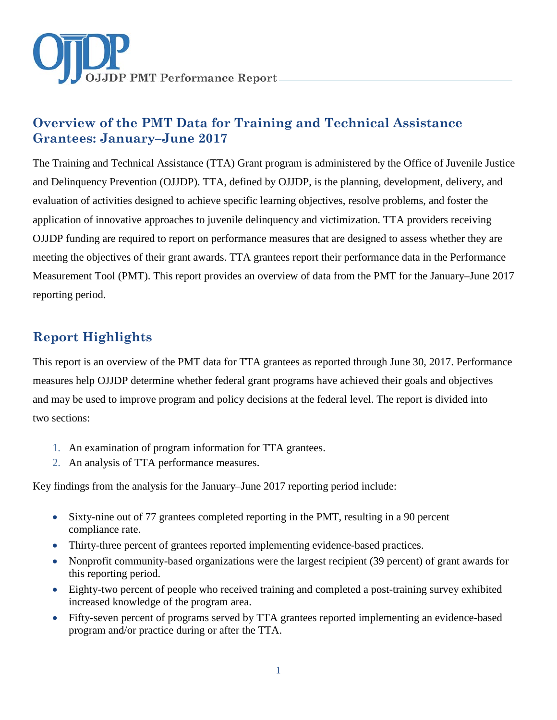

# **Overview of the PMT Data for Training and Technical Assistance Grantees: January–June 2017**

The Training and Technical Assistance (TTA) Grant program is administered by the Office of Juvenile Justice and Delinquency Prevention (OJJDP). TTA, defined by OJJDP, is the planning, development, delivery, and evaluation of activities designed to achieve specific learning objectives, resolve problems, and foster the application of innovative approaches to juvenile delinquency and victimization. TTA providers receiving OJJDP funding are required to report on performance measures that are designed to assess whether they are meeting the objectives of their grant awards. TTA grantees report their performance data in the Performance Measurement Tool (PMT). This report provides an overview of data from the PMT for the January–June 2017 reporting period.

## **Report Highlights**

This report is an overview of the PMT data for TTA grantees as reported through June 30, 2017. Performance measures help OJJDP determine whether federal grant programs have achieved their goals and objectives and may be used to improve program and policy decisions at the federal level. The report is divided into two sections:

- 1. An examination of program information for TTA grantees.
- 2. An analysis of TTA performance measures.

Key findings from the analysis for the January–June 2017 reporting period include:

- Sixty-nine out of 77 grantees completed reporting in the PMT, resulting in a 90 percent compliance rate.
- Thirty-three percent of grantees reported implementing evidence-based practices.
- Nonprofit community-based organizations were the largest recipient (39 percent) of grant awards for this reporting period.
- Eighty-two percent of people who received training and completed a post-training survey exhibited increased knowledge of the program area.
- Fifty-seven percent of programs served by TTA grantees reported implementing an evidence-based program and/or practice during or after the TTA.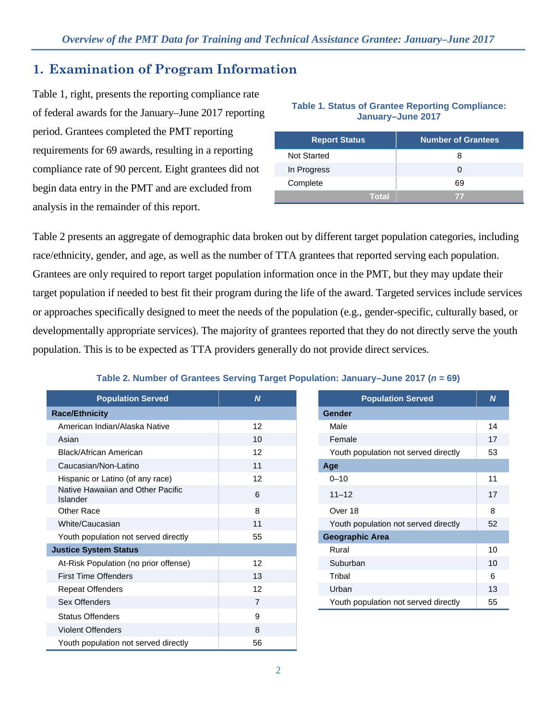### **1. Examination of Program Information**

Table 1, right, presents the reporting compliance rate of federal awards for the January–June 2017 reporting period. Grantees completed the PMT reporting requirements for 69 awards, resulting in a reporting compliance rate of 90 percent. Eight grantees did not begin data entry in the PMT and are excluded from analysis in the remainder of this report.

| <b>Report Status</b> | <b>Number of Grantees</b> |
|----------------------|---------------------------|
| <b>Not Started</b>   | я                         |
| In Progress          |                           |
| Complete             | 69                        |
| Total                | $\mathcal{T}$             |

**Table 1. Status of Grantee Reporting Compliance: January–June 2017**

Table 2 presents an aggregate of demographic data broken out by different target population categories, including race/ethnicity, gender, and age, as well as the number of TTA grantees that reported serving each population. Grantees are only required to report target population information once in the PMT, but they may update their target population if needed to best fit their program during the life of the award. Targeted services include services or approaches specifically designed to meet the needs of the population (e.g., gender-specific, culturally based, or developmentally appropriate services). The majority of grantees reported that they do not directly serve the youth population. This is to be expected as TTA providers generally do not provide direct services.

#### **Table 2. Number of Grantees Serving Target Population: January–June 2017 (***n* **= 69)**

| <b>Population Served</b>                      | $\boldsymbol{N}$ | <b>Population Served</b>             | $\boldsymbol{N}$ |
|-----------------------------------------------|------------------|--------------------------------------|------------------|
| <b>Race/Ethnicity</b>                         |                  | <b>Gender</b>                        |                  |
| American Indian/Alaska Native                 | 12               | Male                                 | 14               |
| Asian                                         | 10 <sup>1</sup>  | Female                               | 17               |
| <b>Black/African American</b>                 | 12               | Youth population not served directly | 53               |
| Caucasian/Non-Latino                          | 11               | Age                                  |                  |
| Hispanic or Latino (of any race)              | 12               | $0 - 10$                             | 11               |
| Native Hawaiian and Other Pacific<br>Islander | 6                | $11 - 12$                            | 17               |
| <b>Other Race</b>                             | 8                | Over 18                              | 8                |
| White/Caucasian                               | 11               | Youth population not served directly | 52               |
| Youth population not served directly          | 55               | <b>Geographic Area</b>               |                  |
| <b>Justice System Status</b>                  |                  | Rural                                | 10               |
| At-Risk Population (no prior offense)         | 12               | Suburban                             | 10               |
| <b>First Time Offenders</b>                   | 13               | Tribal                               | 6                |
| <b>Repeat Offenders</b>                       | 12               | Urban                                | 13               |
| Sex Offenders                                 | 7                | Youth population not served directly | 55               |
| <b>Status Offenders</b>                       | 9                |                                      |                  |
| <b>Violent Offenders</b>                      | 8                |                                      |                  |
| Youth population not served directly          | 56               |                                      |                  |

| <b>Population Served</b>             | N  |
|--------------------------------------|----|
| <b>Gender</b>                        |    |
| Male                                 | 14 |
| Female                               | 17 |
| Youth population not served directly | 53 |
| Age                                  |    |
| $0 - 10$                             | 11 |
| $11 - 12$                            | 17 |
| Over 18                              | 8  |
| Youth population not served directly | 52 |
| <b>Geographic Area</b>               |    |
| Rural                                | 10 |
| Suburban                             | 10 |
| Tribal                               | 6  |
| Urban                                | 13 |
| Youth population not served directly | 55 |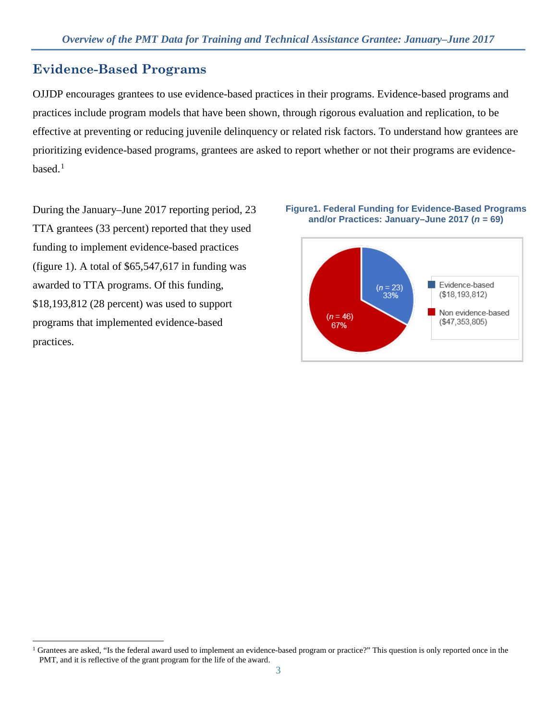## **Evidence-Based Programs**

OJJDP encourages grantees to use evidence-based practices in their programs. Evidence-based programs and practices include program models that have been shown, through rigorous evaluation and replication, to be effective at preventing or reducing juvenile delinquency or related risk factors. To understand how grantees are prioritizing evidence-based programs, grantees are asked to report whether or not their programs are evidencebased $<sup>1</sup>$  $<sup>1</sup>$  $<sup>1</sup>$ </sup>

During the January–June 2017 reporting period, 23 TTA grantees (33 percent) reported that they used funding to implement evidence-based practices (figure 1). A total of  $$65,547,617$  in funding was awarded to TTA programs. Of this funding, \$18,193,812 (28 percent) was used to support programs that implemented evidence-based practices.





<span id="page-2-0"></span> $\overline{a}$ <sup>1</sup> Grantees are asked, "Is the federal award used to implement an evidence-based program or practice?" This question is only reported once in the PMT, and it is reflective of the grant program for the life of the award.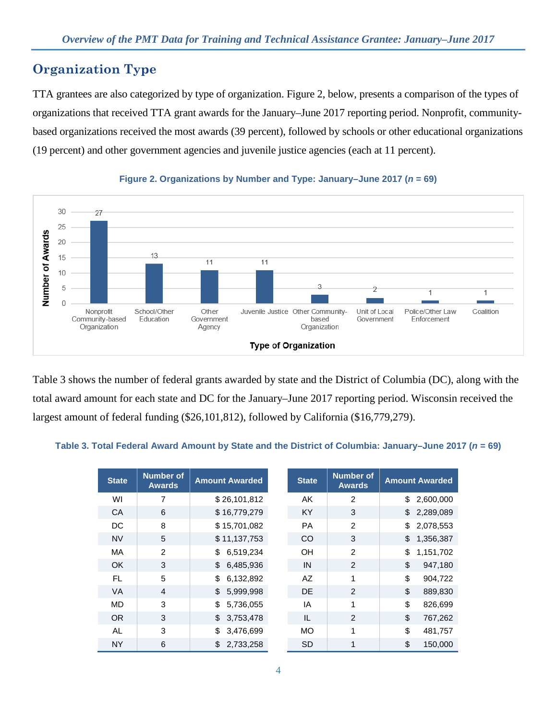## **Organization Type**

TTA grantees are also categorized by type of organization. Figure 2, below, presents a comparison of the types of organizations that received TTA grant awards for the January–June 2017 reporting period. Nonprofit, communitybased organizations received the most awards (39 percent), followed by schools or other educational organizations (19 percent) and other government agencies and juvenile justice agencies (each at 11 percent).



#### **Figure 2. Organizations by Number and Type: January–June 2017 (***n* **= 69)**

Table 3 shows the number of federal grants awarded by state and the District of Columbia (DC), along with the total award amount for each state and DC for the January–June 2017 reporting period. Wisconsin received the largest amount of federal funding (\$26,101,812), followed by California (\$16,779,279).

#### Table 3. Total Federal Award Amount by State and the District of Columbia: January–June 2017 (*n* = 69)

| <b>State</b> | <b>Number of</b><br><b>Awards</b> | <b>Amount Awarded</b> | <b>State</b> | <b>Number of</b><br><b>Awards</b> | <b>Amount Awarded</b> |
|--------------|-----------------------------------|-----------------------|--------------|-----------------------------------|-----------------------|
| WI           | 7                                 | \$26,101,812          | AK           | $\overline{2}$                    | \$<br>2,600,000       |
| CA           | 6                                 | \$16,779,279          | KY           | 3                                 | \$<br>2,289,089       |
| DC           | 8                                 | \$15,701,082          | <b>PA</b>    | 2                                 | \$<br>2,078,553       |
| <b>NV</b>    | 5                                 | \$11,137,753          | CO           | 3                                 | \$<br>1,356,387       |
| MA           | 2                                 | 6,519,234<br>\$       | OH           | 2                                 | \$<br>1,151,702       |
| <b>OK</b>    | 3                                 | \$6,485,936           | IN           | $\overline{2}$                    | \$<br>947,180         |
| FL           | 5                                 | \$<br>6,132,892       | AZ           | 1                                 | \$<br>904,722         |
| <b>VA</b>    | $\overline{4}$                    | 5,999,998<br>\$       | <b>DE</b>    | 2                                 | \$<br>889,830         |
| MD           | 3                                 | \$<br>5,736,055       | IA           | 1                                 | \$<br>826,699         |
| <b>OR</b>    | 3                                 | \$3,753,478           | IL           | 2                                 | \$<br>767,262         |
| AL           | 3                                 | 3,476,699<br>\$       | <b>MO</b>    | 1                                 | \$<br>481,757         |
| <b>NY</b>    | 6                                 | 2,733,258<br>\$       | <b>SD</b>    | 1                                 | \$<br>150,000         |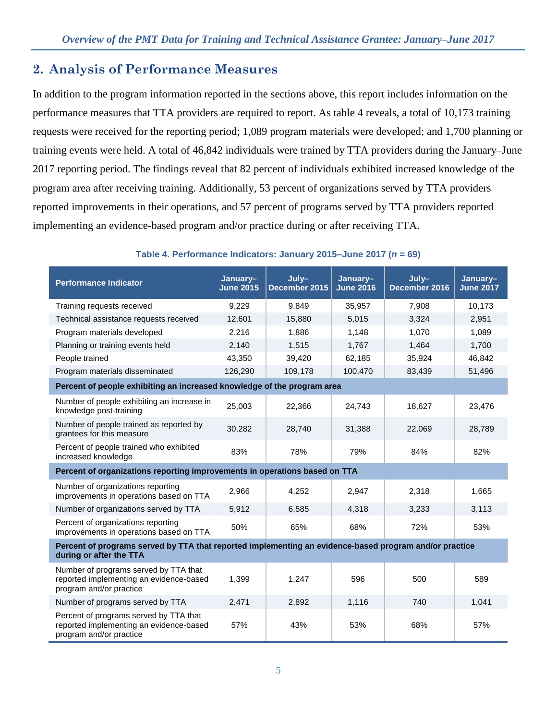## **2. Analysis of Performance Measures**

In addition to the program information reported in the sections above, this report includes information on the performance measures that TTA providers are required to report. As table 4 reveals, a total of 10,173 training requests were received for the reporting period; 1,089 program materials were developed; and 1,700 planning or training events were held. A total of 46,842 individuals were trained by TTA providers during the January–June 2017 reporting period. The findings reveal that 82 percent of individuals exhibited increased knowledge of the program area after receiving training. Additionally, 53 percent of organizations served by TTA providers reported improvements in their operations, and 57 percent of programs served by TTA providers reported implementing an evidence-based program and/or practice during or after receiving TTA.

| <b>Performance Indicator</b>                                                                                                      | January-<br><b>June 2015</b> | July-<br>December 2015 | January-<br><b>June 2016</b> | July-<br>December 2016 | January-<br><b>June 2017</b> |  |  |  |  |
|-----------------------------------------------------------------------------------------------------------------------------------|------------------------------|------------------------|------------------------------|------------------------|------------------------------|--|--|--|--|
| Training requests received                                                                                                        | 9,229                        | 9,849                  | 35,957                       | 7,908                  | 10,173                       |  |  |  |  |
| Technical assistance requests received                                                                                            | 12,601                       | 15,880                 | 5,015                        | 3,324                  | 2,951                        |  |  |  |  |
| Program materials developed                                                                                                       | 2,216                        | 1,886                  | 1,148                        | 1,070                  | 1,089                        |  |  |  |  |
| Planning or training events held                                                                                                  | 2,140                        | 1,515                  | 1,767                        | 1,464                  | 1,700                        |  |  |  |  |
| People trained                                                                                                                    | 43,350                       | 39,420                 | 62,185                       | 35,924                 | 46,842                       |  |  |  |  |
| Program materials disseminated                                                                                                    | 126,290                      | 109,178                | 100,470                      | 83,439                 | 51,496                       |  |  |  |  |
| Percent of people exhibiting an increased knowledge of the program area                                                           |                              |                        |                              |                        |                              |  |  |  |  |
| Number of people exhibiting an increase in<br>knowledge post-training                                                             | 25,003                       | 22,366                 | 24,743                       | 18,627                 | 23,476                       |  |  |  |  |
| Number of people trained as reported by<br>grantees for this measure                                                              | 30,282                       | 28,740                 | 31,388                       | 22,069                 | 28,789                       |  |  |  |  |
| Percent of people trained who exhibited<br>increased knowledge                                                                    | 83%                          | 78%                    | 79%                          | 84%                    | 82%                          |  |  |  |  |
| Percent of organizations reporting improvements in operations based on TTA                                                        |                              |                        |                              |                        |                              |  |  |  |  |
| Number of organizations reporting<br>improvements in operations based on TTA                                                      | 2,966                        | 4,252                  | 2,947                        | 2,318                  | 1,665                        |  |  |  |  |
| Number of organizations served by TTA                                                                                             | 5,912                        | 6,585                  | 4,318                        | 3,233                  | 3,113                        |  |  |  |  |
| Percent of organizations reporting<br>improvements in operations based on TTA                                                     | 50%                          | 65%                    | 68%                          | 72%                    | 53%                          |  |  |  |  |
| Percent of programs served by TTA that reported implementing an evidence-based program and/or practice<br>during or after the TTA |                              |                        |                              |                        |                              |  |  |  |  |
| Number of programs served by TTA that<br>reported implementing an evidence-based<br>program and/or practice                       | 1,399                        | 1,247                  | 596                          | 500                    | 589                          |  |  |  |  |
| Number of programs served by TTA                                                                                                  | 2,471                        | 2,892                  | 1,116                        | 740                    | 1,041                        |  |  |  |  |
| Percent of programs served by TTA that<br>reported implementing an evidence-based<br>program and/or practice                      | 57%                          | 43%                    | 53%                          | 68%                    | 57%                          |  |  |  |  |

#### **Table 4. Performance Indicators: January 2015–June 2017 (***n* **= 69)**